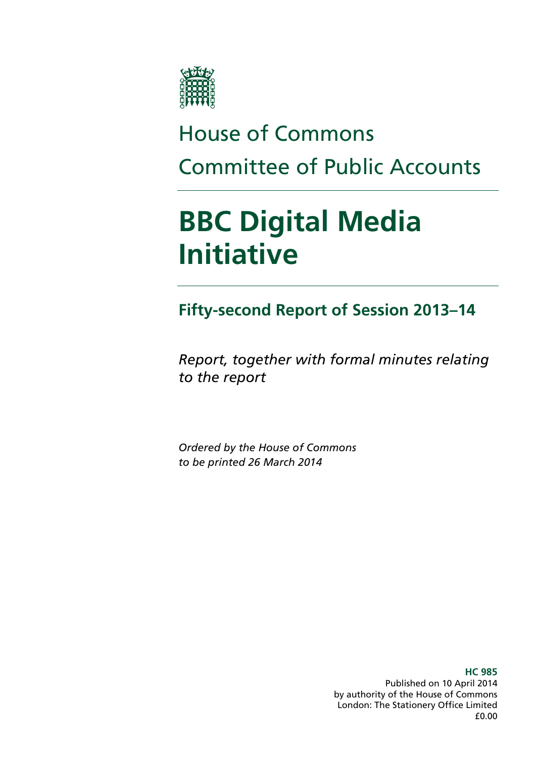

# House of Commons Committee of Public Accounts

# **BBC Digital Media Initiative**

**Fifty-second Report of Session 2013–14** 

*Report, together with formal minutes relating to the report* 

*Ordered by the House of Commons to be printed 26 March 2014* 

> Published on 10 April 2014 by authority of the House of Commons London: The Stationery Office Limited £0.00

**HC 985**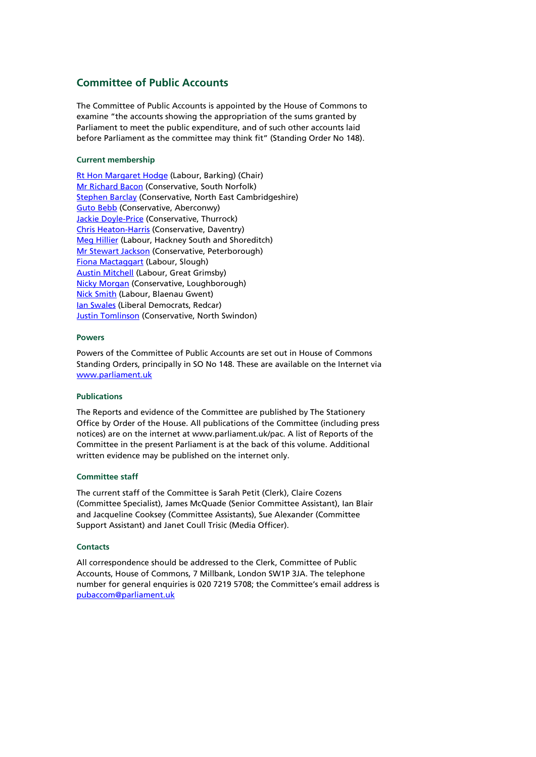### **Committee of Public Accounts**

The Committee of Public Accounts is appointed by the House of Commons to examine "the accounts showing the appropriation of the sums granted by Parliament to meet the public expenditure, and of such other accounts laid before Parliament as the committee may think fit" (Standing Order No 148).

#### **Current membership**

Rt Hon Margaret Hodge (Labour, Barking) (Chair) Mr Richard Bacon (Conservative, South Norfolk) Stephen Barclay (Conservative, North East Cambridgeshire) Guto Bebb (Conservative, Aberconwy) **Jackie Doyle-Price (Conservative, Thurrock)** Chris Heaton-Harris (Conservative, Daventry) Meg Hillier (Labour, Hackney South and Shoreditch) Mr Stewart Jackson (Conservative, Peterborough) Fiona Mactaggart (Labour, Slough) **Austin Mitchell (Labour, Great Grimsby)** Nicky Morgan (Conservative, Loughborough) Nick Smith (Labour, Blaenau Gwent) Ian Swales (Liberal Democrats, Redcar) **Justin Tomlinson** (Conservative, North Swindon)

#### **Powers**

Powers of the Committee of Public Accounts are set out in House of Commons Standing Orders, principally in SO No 148. These are available on the Internet via www.parliament.uk

#### **Publications**

The Reports and evidence of the Committee are published by The Stationery Office by Order of the House. All publications of the Committee (including press notices) are on the internet at www.parliament.uk/pac. A list of Reports of the Committee in the present Parliament is at the back of this volume. Additional written evidence may be published on the internet only.

#### **Committee staff**

The current staff of the Committee is Sarah Petit (Clerk), Claire Cozens (Committee Specialist), James McQuade (Senior Committee Assistant), Ian Blair and Jacqueline Cooksey (Committee Assistants), Sue Alexander (Committee Support Assistant) and Janet Coull Trisic (Media Officer).

#### **Contacts**

All correspondence should be addressed to the Clerk, Committee of Public Accounts, House of Commons, 7 Millbank, London SW1P 3JA. The telephone number for general enquiries is 020 7219 5708; the Committee's email address is pubaccom@parliament.uk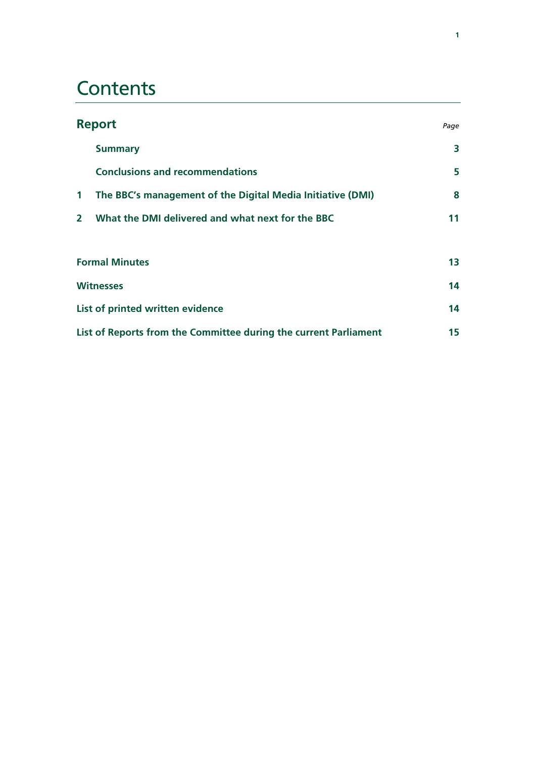# **Contents**

| <b>Report</b>                                                    |                                                            |    |
|------------------------------------------------------------------|------------------------------------------------------------|----|
|                                                                  | <b>Summary</b>                                             | 3  |
|                                                                  | <b>Conclusions and recommendations</b>                     | 5  |
| $\mathbf{1}$                                                     | The BBC's management of the Digital Media Initiative (DMI) | 8  |
| $\overline{2}$                                                   | What the DMI delivered and what next for the BBC           | 11 |
| <b>Formal Minutes</b>                                            |                                                            | 13 |
| <b>Witnesses</b>                                                 |                                                            |    |
| List of printed written evidence                                 |                                                            |    |
| List of Reports from the Committee during the current Parliament |                                                            |    |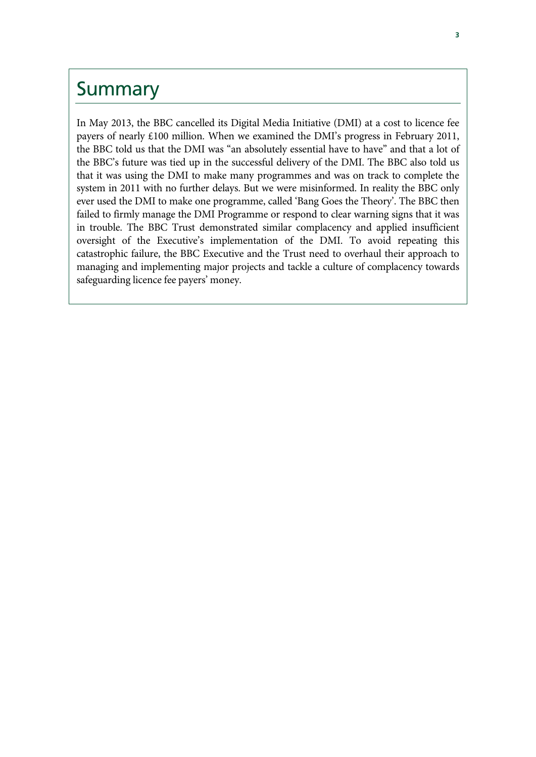### Summary

In May 2013, the BBC cancelled its Digital Media Initiative (DMI) at a cost to licence fee payers of nearly £100 million. When we examined the DMI's progress in February 2011, the BBC told us that the DMI was "an absolutely essential have to have" and that a lot of the BBC's future was tied up in the successful delivery of the DMI. The BBC also told us that it was using the DMI to make many programmes and was on track to complete the system in 2011 with no further delays. But we were misinformed. In reality the BBC only ever used the DMI to make one programme, called 'Bang Goes the Theory'. The BBC then failed to firmly manage the DMI Programme or respond to clear warning signs that it was in trouble. The BBC Trust demonstrated similar complacency and applied insufficient oversight of the Executive's implementation of the DMI. To avoid repeating this catastrophic failure, the BBC Executive and the Trust need to overhaul their approach to managing and implementing major projects and tackle a culture of complacency towards safeguarding licence fee payers' money.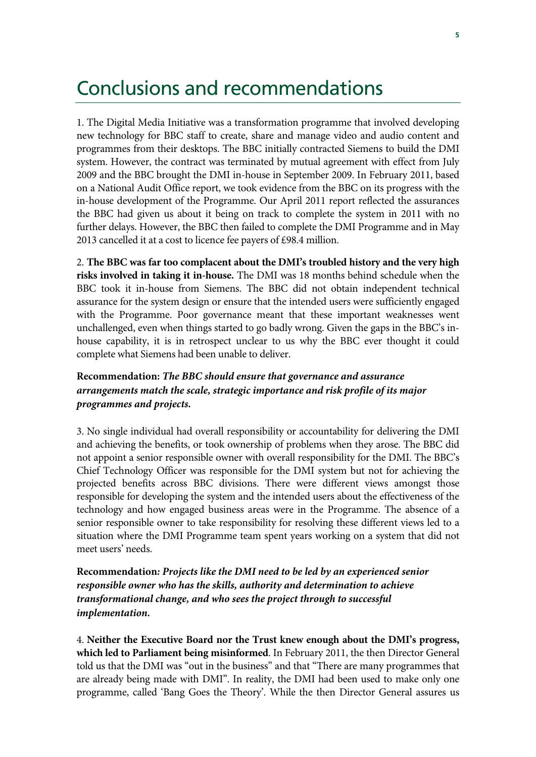### Conclusions and recommendations

1. The Digital Media Initiative was a transformation programme that involved developing new technology for BBC staff to create, share and manage video and audio content and programmes from their desktops. The BBC initially contracted Siemens to build the DMI system. However, the contract was terminated by mutual agreement with effect from July 2009 and the BBC brought the DMI in-house in September 2009. In February 2011, based on a National Audit Office report, we took evidence from the BBC on its progress with the in-house development of the Programme. Our April 2011 report reflected the assurances the BBC had given us about it being on track to complete the system in 2011 with no further delays. However, the BBC then failed to complete the DMI Programme and in May 2013 cancelled it at a cost to licence fee payers of £98.4 million.

2. **The BBC was far too complacent about the DMI's troubled history and the very high risks involved in taking it in-house.** The DMI was 18 months behind schedule when the BBC took it in-house from Siemens. The BBC did not obtain independent technical assurance for the system design or ensure that the intended users were sufficiently engaged with the Programme. Poor governance meant that these important weaknesses went unchallenged, even when things started to go badly wrong. Given the gaps in the BBC's inhouse capability, it is in retrospect unclear to us why the BBC ever thought it could complete what Siemens had been unable to deliver.

### **Recommendation:** *The BBC should ensure that governance and assurance arrangements match the scale, strategic importance and risk profile of its major programmes and projects.*

3. No single individual had overall responsibility or accountability for delivering the DMI and achieving the benefits, or took ownership of problems when they arose. The BBC did not appoint a senior responsible owner with overall responsibility for the DMI. The BBC's Chief Technology Officer was responsible for the DMI system but not for achieving the projected benefits across BBC divisions. There were different views amongst those responsible for developing the system and the intended users about the effectiveness of the technology and how engaged business areas were in the Programme. The absence of a senior responsible owner to take responsibility for resolving these different views led to a situation where the DMI Programme team spent years working on a system that did not meet users' needs.

**Recommendation***: Projects like the DMI need to be led by an experienced senior responsible owner who has the skills, authority and determination to achieve transformational change, and who sees the project through to successful implementation.* 

4. **Neither the Executive Board nor the Trust knew enough about the DMI's progress, which led to Parliament being misinformed**. In February 2011, the then Director General told us that the DMI was "out in the business" and that "There are many programmes that are already being made with DMI". In reality, the DMI had been used to make only one programme, called 'Bang Goes the Theory'. While the then Director General assures us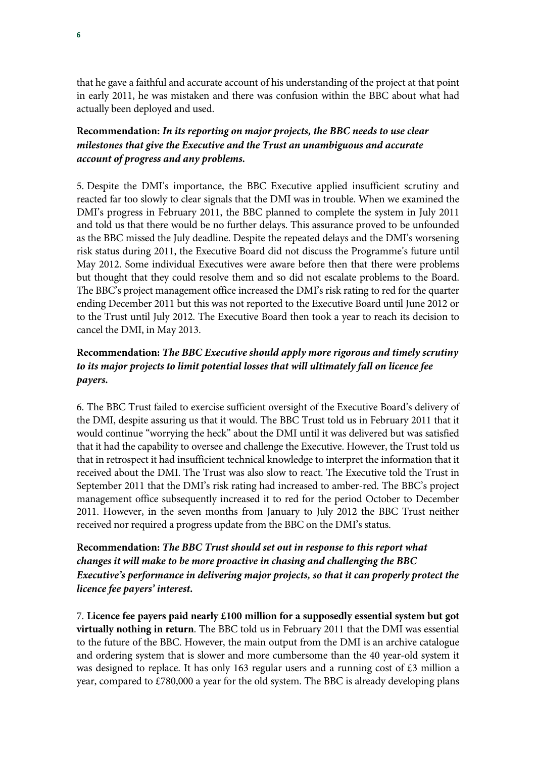that he gave a faithful and accurate account of his understanding of the project at that point in early 2011, he was mistaken and there was confusion within the BBC about what had actually been deployed and used.

### **Recommendation:** *In its reporting on major projects, the BBC needs to use clear milestones that give the Executive and the Trust an unambiguous and accurate account of progress and any problems.*

5. Despite the DMI's importance, the BBC Executive applied insufficient scrutiny and reacted far too slowly to clear signals that the DMI was in trouble. When we examined the DMI's progress in February 2011, the BBC planned to complete the system in July 2011 and told us that there would be no further delays. This assurance proved to be unfounded as the BBC missed the July deadline. Despite the repeated delays and the DMI's worsening risk status during 2011, the Executive Board did not discuss the Programme's future until May 2012. Some individual Executives were aware before then that there were problems but thought that they could resolve them and so did not escalate problems to the Board. The BBC's project management office increased the DMI's risk rating to red for the quarter ending December 2011 but this was not reported to the Executive Board until June 2012 or to the Trust until July 2012. The Executive Board then took a year to reach its decision to cancel the DMI, in May 2013.

### **Recommendation:** *The BBC Executive should apply more rigorous and timely scrutiny to its major projects to limit potential losses that will ultimately fall on licence fee payers.*

6. The BBC Trust failed to exercise sufficient oversight of the Executive Board's delivery of the DMI, despite assuring us that it would. The BBC Trust told us in February 2011 that it would continue "worrying the heck" about the DMI until it was delivered but was satisfied that it had the capability to oversee and challenge the Executive. However, the Trust told us that in retrospect it had insufficient technical knowledge to interpret the information that it received about the DMI. The Trust was also slow to react. The Executive told the Trust in September 2011 that the DMI's risk rating had increased to amber-red. The BBC's project management office subsequently increased it to red for the period October to December 2011. However, in the seven months from January to July 2012 the BBC Trust neither received nor required a progress update from the BBC on the DMI's status.

### **Recommendation:** *The BBC Trust should set out in response to this report what changes it will make to be more proactive in chasing and challenging the BBC Executive's performance in delivering major projects, so that it can properly protect the licence fee payers' interest***.**

7. **Licence fee payers paid nearly £100 million for a supposedly essential system but got virtually nothing in return**. The BBC told us in February 2011 that the DMI was essential to the future of the BBC. However, the main output from the DMI is an archive catalogue and ordering system that is slower and more cumbersome than the 40 year-old system it was designed to replace. It has only 163 regular users and a running cost of £3 million a year, compared to £780,000 a year for the old system. The BBC is already developing plans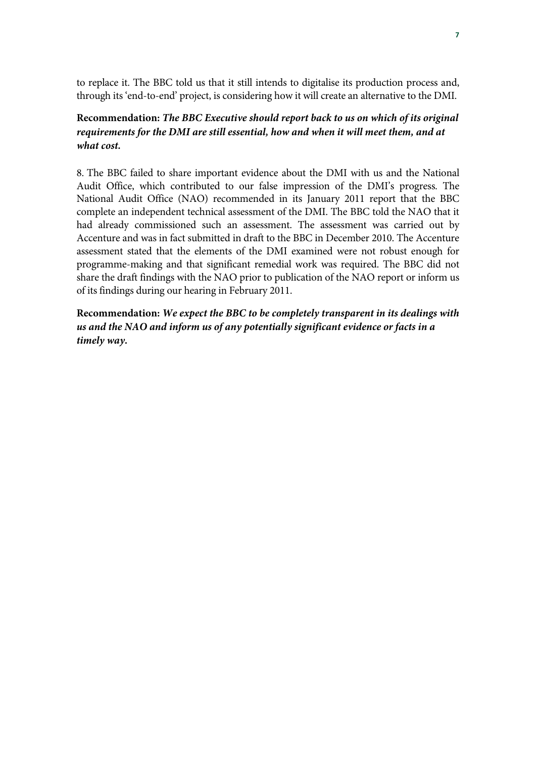to replace it. The BBC told us that it still intends to digitalise its production process and, through its 'end-to-end' project, is considering how it will create an alternative to the DMI.

### **Recommendation:** *The BBC Executive should report back to us on which of its original requirements for the DMI are still essential, how and when it will meet them, and at what cost.*

8. The BBC failed to share important evidence about the DMI with us and the National Audit Office, which contributed to our false impression of the DMI's progress. The National Audit Office (NAO) recommended in its January 2011 report that the BBC complete an independent technical assessment of the DMI. The BBC told the NAO that it had already commissioned such an assessment. The assessment was carried out by Accenture and was in fact submitted in draft to the BBC in December 2010. The Accenture assessment stated that the elements of the DMI examined were not robust enough for programme-making and that significant remedial work was required. The BBC did not share the draft findings with the NAO prior to publication of the NAO report or inform us of its findings during our hearing in February 2011.

**Recommendation:** *We expect the BBC to be completely transparent in its dealings with us and the NAO and inform us of any potentially significant evidence or facts in a timely way.*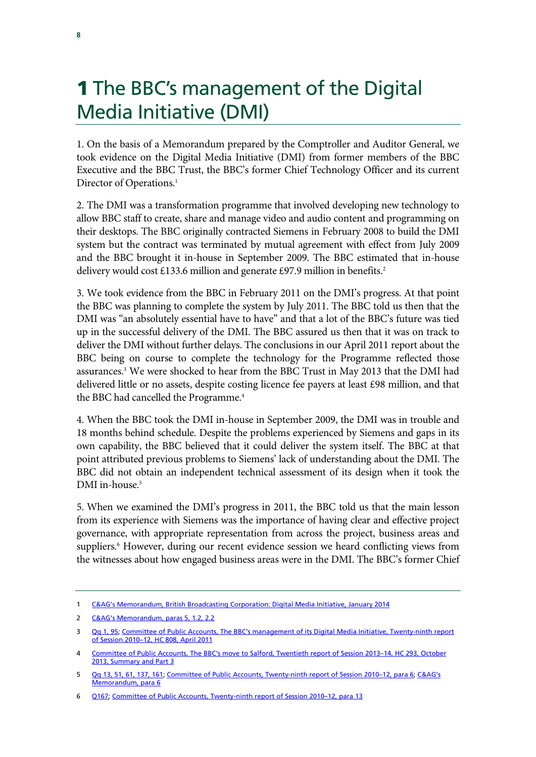# **1** The BBC's management of the Digital Media Initiative (DMI)

1. On the basis of a Memorandum prepared by the Comptroller and Auditor General, we took evidence on the Digital Media Initiative (DMI) from former members of the BBC Executive and the BBC Trust, the BBC's former Chief Technology Officer and its current Director of Operations.<sup>1</sup>

2. The DMI was a transformation programme that involved developing new technology to allow BBC staff to create, share and manage video and audio content and programming on their desktops. The BBC originally contracted Siemens in February 2008 to build the DMI system but the contract was terminated by mutual agreement with effect from July 2009 and the BBC brought it in-house in September 2009. The BBC estimated that in-house delivery would cost £133.6 million and generate £97.9 million in benefits.<sup>2</sup>

3. We took evidence from the BBC in February 2011 on the DMI's progress. At that point the BBC was planning to complete the system by July 2011. The BBC told us then that the DMI was "an absolutely essential have to have" and that a lot of the BBC's future was tied up in the successful delivery of the DMI. The BBC assured us then that it was on track to deliver the DMI without further delays. The conclusions in our April 2011 report about the BBC being on course to complete the technology for the Programme reflected those assurances.<sup>3</sup> We were shocked to hear from the BBC Trust in May 2013 that the DMI had delivered little or no assets, despite costing licence fee payers at least £98 million, and that the BBC had cancelled the Programme.<sup>4</sup>

4. When the BBC took the DMI in-house in September 2009, the DMI was in trouble and 18 months behind schedule. Despite the problems experienced by Siemens and gaps in its own capability, the BBC believed that it could deliver the system itself. The BBC at that point attributed previous problems to Siemens' lack of understanding about the DMI. The BBC did not obtain an independent technical assessment of its design when it took the DMI in-house.<sup>5</sup>

5. When we examined the DMI's progress in 2011, the BBC told us that the main lesson from its experience with Siemens was the importance of having clear and effective project governance, with appropriate representation from across the project, business areas and suppliers.<sup>6</sup> However, during our recent evidence session we heard conflicting views from the witnesses about how engaged business areas were in the DMI. The BBC's former Chief

<sup>1</sup> C&AG's Memorandum, British Broadcasting Corporation: Digital Media Initiative, January 2014

<sup>2</sup> C&AG's Memorandum, paras 5, 1.2, 2.2

<sup>3</sup> Qq 1, 95; Committee of Public Accounts, The BBC's management of its Digital Media Initiative, Twenty-ninth report of Session 2010–12, HC 808, April 2011

Committee of Public Accounts, The BBC's move to Salford, Twentieth report of Session 2013-14, HC 293, October 2013, Summary and Part 3

<sup>5</sup> Qq 13, 51, 61, 137, 161; Committee of Public Accounts, Twenty-ninth report of Session 2010–12, para 6; C&AG's Memorandum, para 6

<sup>6</sup> Q167; Committee of Public Accounts, Twenty-ninth report of Session 2010–12, para 13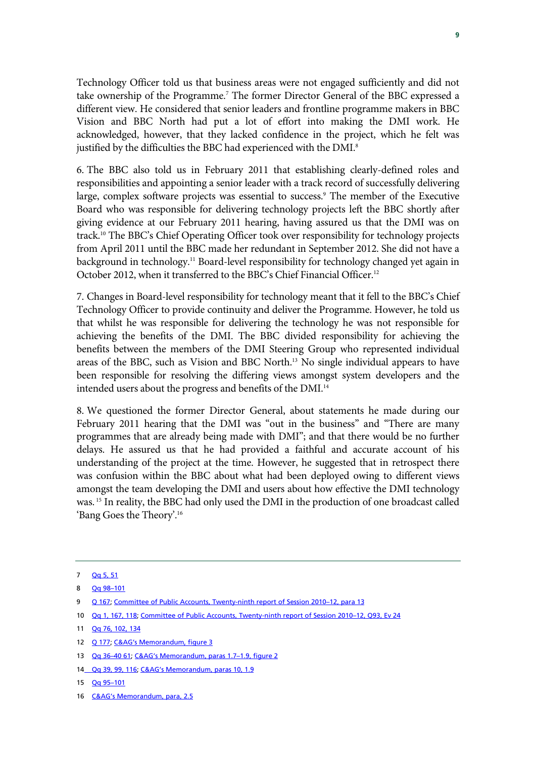Technology Officer told us that business areas were not engaged sufficiently and did not take ownership of the Programme.<sup>7</sup> The former Director General of the BBC expressed a different view. He considered that senior leaders and frontline programme makers in BBC Vision and BBC North had put a lot of effort into making the DMI work. He acknowledged, however, that they lacked confidence in the project, which he felt was justified by the difficulties the BBC had experienced with the DMI.<sup>8</sup>

6. The BBC also told us in February 2011 that establishing clearly-defined roles and responsibilities and appointing a senior leader with a track record of successfully delivering large, complex software projects was essential to success.<sup>9</sup> The member of the Executive Board who was responsible for delivering technology projects left the BBC shortly after giving evidence at our February 2011 hearing, having assured us that the DMI was on track.10 The BBC's Chief Operating Officer took over responsibility for technology projects from April 2011 until the BBC made her redundant in September 2012. She did not have a background in technology.<sup>11</sup> Board-level responsibility for technology changed yet again in October 2012, when it transferred to the BBC's Chief Financial Officer.<sup>12</sup>

7. Changes in Board-level responsibility for technology meant that it fell to the BBC's Chief Technology Officer to provide continuity and deliver the Programme. However, he told us that whilst he was responsible for delivering the technology he was not responsible for achieving the benefits of the DMI. The BBC divided responsibility for achieving the benefits between the members of the DMI Steering Group who represented individual areas of the BBC, such as Vision and BBC North.13 No single individual appears to have been responsible for resolving the differing views amongst system developers and the intended users about the progress and benefits of the DMI.<sup>14</sup>

8. We questioned the former Director General, about statements he made during our February 2011 hearing that the DMI was "out in the business" and "There are many programmes that are already being made with DMI"; and that there would be no further delays. He assured us that he had provided a faithful and accurate account of his understanding of the project at the time. However, he suggested that in retrospect there was confusion within the BBC about what had been deployed owing to different views amongst the team developing the DMI and users about how effective the DMI technology was. 15 In reality, the BBC had only used the DMI in the production of one broadcast called 'Bang Goes the Theory'.16

10 Qq 1, 167, 118; Committee of Public Accounts, Twenty-ninth report of Session 2010–12, Q93, Ev 24

- 12 Q 177; C&AG's Memorandum, figure 3
- 13 Qq 36–40 61; C&AG's Memorandum, paras 1.7–1.9, figure 2
- 14 Qq 39, 99, 116; C&AG's Memorandum, paras 10, 1.9

<sup>7</sup> Qq 5, 51

<sup>8</sup> Qq 98–101

<sup>9</sup> Q 167; Committee of Public Accounts, Twenty-ninth report of Session 2010-12, para 13

<sup>11</sup> Qq 76, 102, 134

<sup>15</sup> Qq 95–101

<sup>16</sup> C&AG's Memorandum, para, 2.5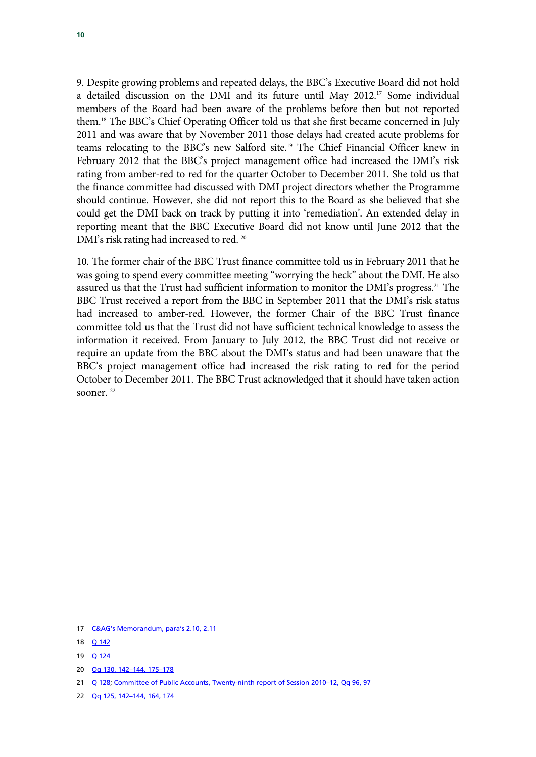9. Despite growing problems and repeated delays, the BBC's Executive Board did not hold a detailed discussion on the DMI and its future until May 2012.17 Some individual members of the Board had been aware of the problems before then but not reported them.18 The BBC's Chief Operating Officer told us that she first became concerned in July 2011 and was aware that by November 2011 those delays had created acute problems for teams relocating to the BBC's new Salford site.19 The Chief Financial Officer knew in February 2012 that the BBC's project management office had increased the DMI's risk rating from amber-red to red for the quarter October to December 2011. She told us that the finance committee had discussed with DMI project directors whether the Programme should continue. However, she did not report this to the Board as she believed that she could get the DMI back on track by putting it into 'remediation'. An extended delay in reporting meant that the BBC Executive Board did not know until June 2012 that the DMI's risk rating had increased to red.<sup>20</sup>

10. The former chair of the BBC Trust finance committee told us in February 2011 that he was going to spend every committee meeting "worrying the heck" about the DMI. He also assured us that the Trust had sufficient information to monitor the DMI's progress.<sup>21</sup> The BBC Trust received a report from the BBC in September 2011 that the DMI's risk status had increased to amber-red. However, the former Chair of the BBC Trust finance committee told us that the Trust did not have sufficient technical knowledge to assess the information it received. From January to July 2012, the BBC Trust did not receive or require an update from the BBC about the DMI's status and had been unaware that the BBC's project management office had increased the risk rating to red for the period October to December 2011. The BBC Trust acknowledged that it should have taken action sooner. 22

<sup>17</sup> C&AG's Memorandum, para's 2.10, 2.11

<sup>18</sup> **Q 142** 

<sup>19</sup> Q 124

<sup>20</sup> Qq 130, 142–144, 175–178

<sup>21</sup> Q 128; Committee of Public Accounts, Twenty-ninth report of Session 2010-12, Qq 96, 97

<sup>22</sup> Qq 125, 142–144, 164, 174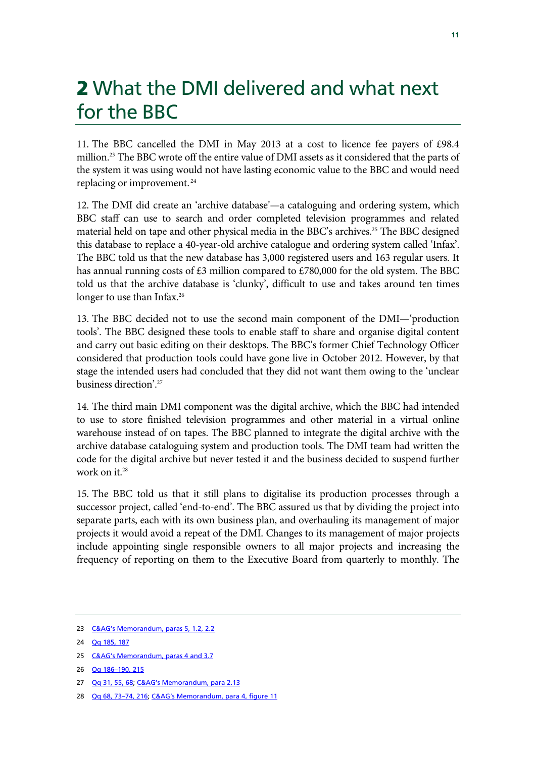# 2 What the DMI delivered and what next for the BBC

11. The BBC cancelled the DMI in May 2013 at a cost to licence fee payers of £98.4 million.23 The BBC wrote off the entire value of DMI assets as it considered that the parts of the system it was using would not have lasting economic value to the BBC and would need replacing or improvement. 24

12. The DMI did create an 'archive database'—a cataloguing and ordering system, which BBC staff can use to search and order completed television programmes and related material held on tape and other physical media in the BBC's archives.<sup>25</sup> The BBC designed this database to replace a 40-year-old archive catalogue and ordering system called 'Infax'. The BBC told us that the new database has 3,000 registered users and 163 regular users. It has annual running costs of £3 million compared to £780,000 for the old system. The BBC told us that the archive database is 'clunky', difficult to use and takes around ten times longer to use than Infax.<sup>26</sup>

13. The BBC decided not to use the second main component of the DMI—'production tools'. The BBC designed these tools to enable staff to share and organise digital content and carry out basic editing on their desktops. The BBC's former Chief Technology Officer considered that production tools could have gone live in October 2012. However, by that stage the intended users had concluded that they did not want them owing to the 'unclear business direction'.27

14. The third main DMI component was the digital archive, which the BBC had intended to use to store finished television programmes and other material in a virtual online warehouse instead of on tapes. The BBC planned to integrate the digital archive with the archive database cataloguing system and production tools. The DMI team had written the code for the digital archive but never tested it and the business decided to suspend further work on it.<sup>28</sup>

15. The BBC told us that it still plans to digitalise its production processes through a successor project, called 'end-to-end'. The BBC assured us that by dividing the project into separate parts, each with its own business plan, and overhauling its management of major projects it would avoid a repeat of the DMI. Changes to its management of major projects include appointing single responsible owners to all major projects and increasing the frequency of reporting on them to the Executive Board from quarterly to monthly. The

25 C&AG's Memorandum, paras 4 and 3.7

27 Qq 31, 55, 68; C&AG's Memorandum, para 2.13

<sup>23</sup> C&AG's Memorandum, paras 5, 1.2, 2.2

<sup>24</sup> Qq 185, 187

<sup>26</sup> Qq 186–190, 215

<sup>28</sup> Qq 68, 73–74, 216; C&AG's Memorandum, para 4, figure 11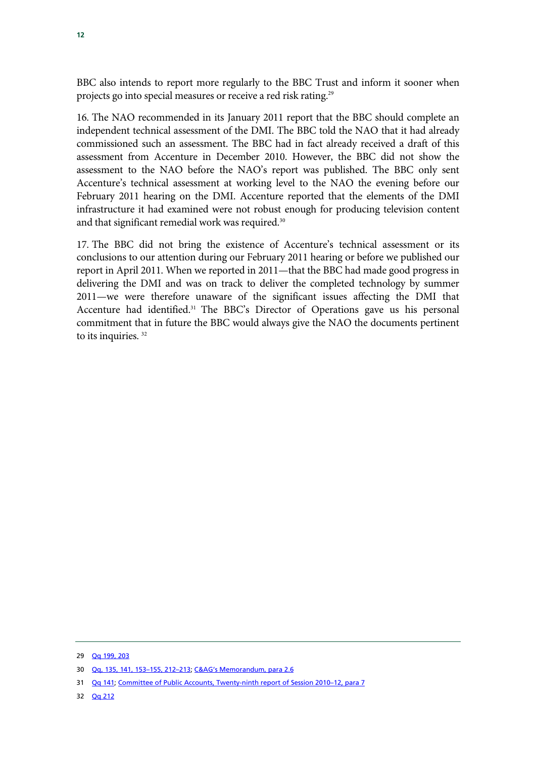BBC also intends to report more regularly to the BBC Trust and inform it sooner when projects go into special measures or receive a red risk rating.29

16. The NAO recommended in its January 2011 report that the BBC should complete an independent technical assessment of the DMI. The BBC told the NAO that it had already commissioned such an assessment. The BBC had in fact already received a draft of this assessment from Accenture in December 2010. However, the BBC did not show the assessment to the NAO before the NAO's report was published. The BBC only sent Accenture's technical assessment at working level to the NAO the evening before our February 2011 hearing on the DMI. Accenture reported that the elements of the DMI infrastructure it had examined were not robust enough for producing television content and that significant remedial work was required.<sup>30</sup>

17. The BBC did not bring the existence of Accenture's technical assessment or its conclusions to our attention during our February 2011 hearing or before we published our report in April 2011. When we reported in 2011—that the BBC had made good progress in delivering the DMI and was on track to deliver the completed technology by summer 2011—we were therefore unaware of the significant issues affecting the DMI that Accenture had identified.<sup>31</sup> The BBC's Director of Operations gave us his personal commitment that in future the BBC would always give the NAO the documents pertinent to its inquiries. 32

<sup>29</sup> Qq 199, 203

<sup>30</sup> Qq, 135, 141, 153–155, 212–213; C&AG's Memorandum, para 2.6

<sup>31</sup> Qq 141; Committee of Public Accounts, Twenty-ninth report of Session 2010-12, para 7

<sup>32</sup> Qq 212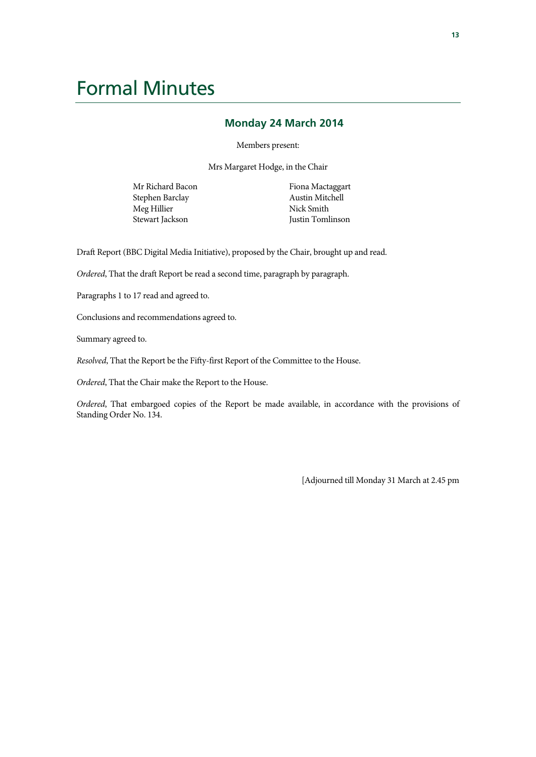## Formal Minutes

#### **Monday 24 March 2014**

Members present:

Mrs Margaret Hodge, in the Chair

Mr Richard Bacon Stephen Barclay Meg Hillier Stewart Jackson

Fiona Mactaggart Austin Mitchell Nick Smith Justin Tomlinson

Draft Report (BBC Digital Media Initiative), proposed by the Chair, brought up and read.

*Ordered*, That the draft Report be read a second time, paragraph by paragraph.

Paragraphs 1 to 17 read and agreed to.

Conclusions and recommendations agreed to.

Summary agreed to.

*Resolved*, That the Report be the Fifty-first Report of the Committee to the House.

*Ordered*, That the Chair make the Report to the House.

*Ordered*, That embargoed copies of the Report be made available, in accordance with the provisions of Standing Order No. 134.

[Adjourned till Monday 31 March at 2.45 pm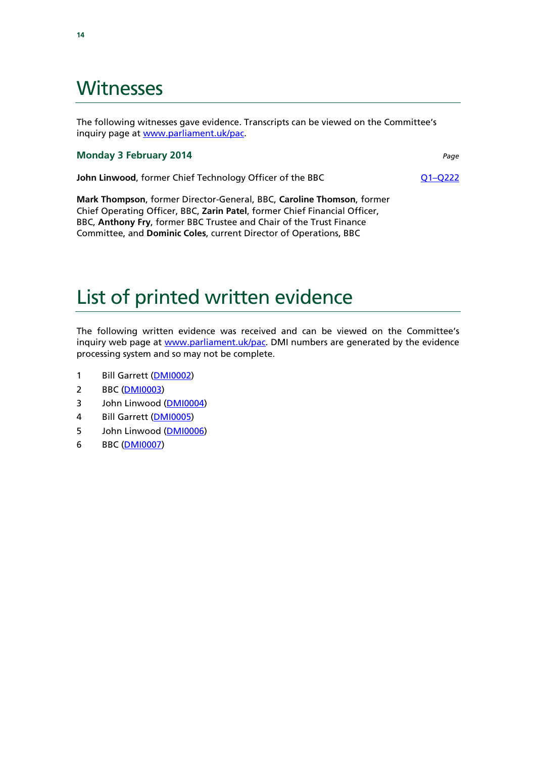### Witnesses

The following witnesses gave evidence. Transcripts can be viewed on the Committee's inquiry page at www.parliament.uk/pac.

#### **Monday 3 February 2014** *Page*

**John Linwood**, former Chief Technology Officer of the BBC Q1–Q222

**Mark Thompson**, former Director-General, BBC, **Caroline Thomson**, former Chief Operating Officer, BBC, **Zarin Patel**, former Chief Financial Officer, BBC, **Anthony Fry**, former BBC Trustee and Chair of the Trust Finance Committee, and **Dominic Coles**, current Director of Operations, BBC

# List of printed written evidence

The following written evidence was received and can be viewed on the Committee's inquiry web page at www.parliament.uk/pac. DMI numbers are generated by the evidence processing system and so may not be complete.

- 1 Bill Garrett (DMI0002)
- 2 BBC (DMI0003)
- 3 John Linwood (DMI0004)
- 4 Bill Garrett (DMI0005)
- 5 John Linwood (DMI0006)
- 6 BBC (DMI0007)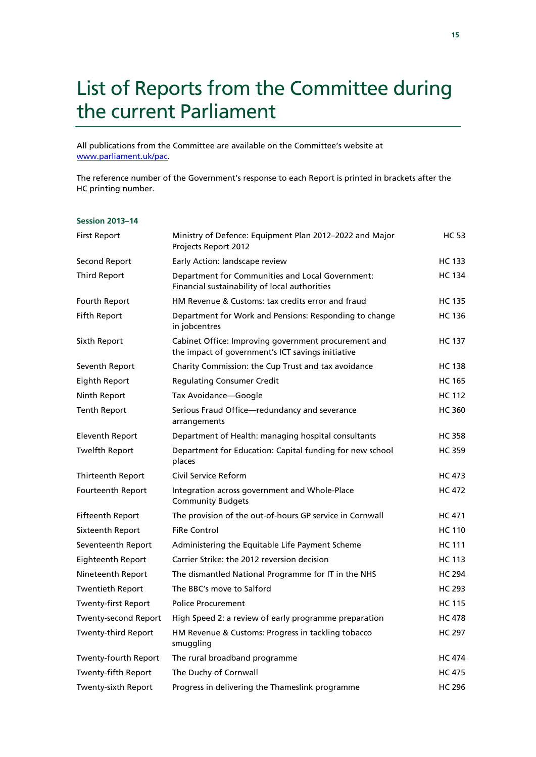# List of Reports from the Committee during the current Parliament

All publications from the Committee are available on the Committee's website at www.parliament.uk/pac.

The reference number of the Government's response to each Report is printed in brackets after the HC printing number.

#### **Session 2013–14**

| <b>First Report</b>     | Ministry of Defence: Equipment Plan 2012-2022 and Major<br>Projects Report 2012                           | <b>HC 53</b>  |
|-------------------------|-----------------------------------------------------------------------------------------------------------|---------------|
| Second Report           | Early Action: landscape review                                                                            | <b>HC 133</b> |
| <b>Third Report</b>     | Department for Communities and Local Government:<br>Financial sustainability of local authorities         | <b>HC 134</b> |
| Fourth Report           | HM Revenue & Customs: tax credits error and fraud                                                         | <b>HC 135</b> |
| <b>Fifth Report</b>     | Department for Work and Pensions: Responding to change<br>in jobcentres                                   | <b>HC 136</b> |
| Sixth Report            | Cabinet Office: Improving government procurement and<br>the impact of government's ICT savings initiative | <b>HC 137</b> |
| Seventh Report          | Charity Commission: the Cup Trust and tax avoidance                                                       | <b>HC 138</b> |
| <b>Eighth Report</b>    | <b>Regulating Consumer Credit</b>                                                                         | <b>HC 165</b> |
| Ninth Report            | Tax Avoidance-Google                                                                                      | <b>HC 112</b> |
| <b>Tenth Report</b>     | Serious Fraud Office-redundancy and severance<br>arrangements                                             | <b>HC 360</b> |
| <b>Eleventh Report</b>  | Department of Health: managing hospital consultants                                                       | <b>HC 358</b> |
| <b>Twelfth Report</b>   | Department for Education: Capital funding for new school<br>places                                        | <b>HC 359</b> |
| Thirteenth Report       | Civil Service Reform                                                                                      | <b>HC 473</b> |
| Fourteenth Report       | Integration across government and Whole-Place<br><b>Community Budgets</b>                                 | <b>HC 472</b> |
| <b>Fifteenth Report</b> | The provision of the out-of-hours GP service in Cornwall                                                  | <b>HC 471</b> |
| Sixteenth Report        | <b>FiRe Control</b>                                                                                       | <b>HC 110</b> |
| Seventeenth Report      | Administering the Equitable Life Payment Scheme                                                           | <b>HC 111</b> |
| Eighteenth Report       | Carrier Strike: the 2012 reversion decision                                                               | <b>HC 113</b> |
| Nineteenth Report       | The dismantled National Programme for IT in the NHS                                                       | <b>HC 294</b> |
| Twentieth Report        | The BBC's move to Salford                                                                                 | <b>HC 293</b> |
| Twenty-first Report     | <b>Police Procurement</b>                                                                                 | <b>HC 115</b> |
| Twenty-second Report    | High Speed 2: a review of early programme preparation                                                     | <b>HC 478</b> |
| Twenty-third Report     | HM Revenue & Customs: Progress in tackling tobacco<br>smuggling                                           | <b>HC 297</b> |
| Twenty-fourth Report    | The rural broadband programme                                                                             | <b>HC 474</b> |
| Twenty-fifth Report     | The Duchy of Cornwall                                                                                     | <b>HC 475</b> |
| Twenty-sixth Report     | Progress in delivering the Thameslink programme                                                           | <b>HC 296</b> |